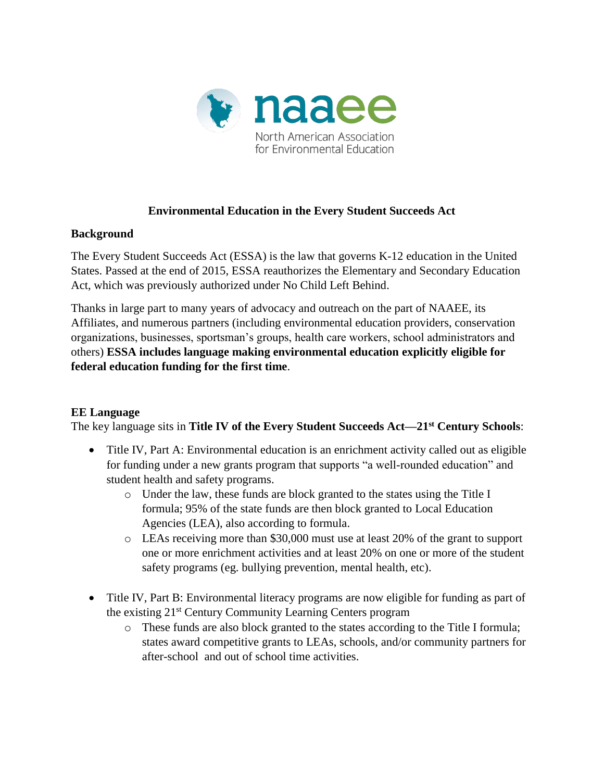

## **Environmental Education in the Every Student Succeeds Act**

## **Background**

The Every Student Succeeds Act (ESSA) is the law that governs K-12 education in the United States. Passed at the end of 2015, ESSA reauthorizes the Elementary and Secondary Education Act, which was previously authorized under No Child Left Behind.

Thanks in large part to many years of advocacy and outreach on the part of NAAEE, its Affiliates, and numerous partners (including environmental education providers, conservation organizations, businesses, sportsman's groups, health care workers, school administrators and others) **ESSA includes language making environmental education explicitly eligible for federal education funding for the first time**.

## **EE Language**

The key language sits in **Title IV of the Every Student Succeeds Act—21st Century Schools**:

- Title IV, Part A: Environmental education is an enrichment activity called out as eligible for funding under a new grants program that supports "a well-rounded education" and student health and safety programs.
	- o Under the law, these funds are block granted to the states using the Title I formula; 95% of the state funds are then block granted to Local Education Agencies (LEA), also according to formula.
	- o LEAs receiving more than \$30,000 must use at least 20% of the grant to support one or more enrichment activities and at least 20% on one or more of the student safety programs (eg. bullying prevention, mental health, etc).
- Title IV, Part B: Environmental literacy programs are now eligible for funding as part of the existing 21st Century Community Learning Centers program
	- o These funds are also block granted to the states according to the Title I formula; states award competitive grants to LEAs, schools, and/or community partners for after-school and out of school time activities.